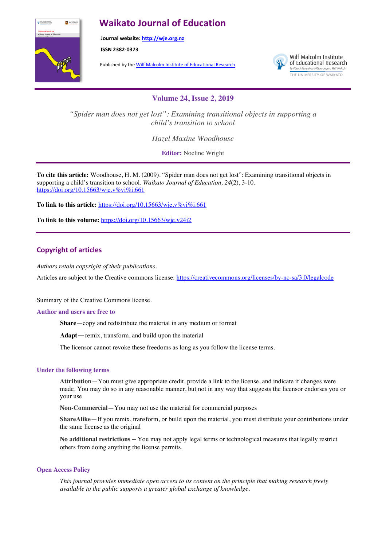# **Waikato Journal of Education**



**Journal website: http://wje.org.nz**

**ISSN 2382-0373**

Published by the Wilf Malcolm Institute of Educational Research



Wilf Malcolm Institute of Educational Research Te Pütahi Rangahau Mātauranga o Wilf Malco. THE UNIVERSITY OF WAIKATO

**Volume 24, Issue 2, 2019**

*"Spider man does not get lost": Examining transitional objects in supporting a child's transition to school*

*Hazel Maxine Woodhouse*

**Editor:** Noeline Wright

**To cite this article:** Woodhouse, H. M. (2009). "Spider man does not get lost": Examining transitional objects in supporting a child's transition to school. *Waikato Journal of Education, 24*(2), 3-10. https://doi.org/10.15663/wje.v%vi%i.661

To link to this article: https://doi.org/10.15663/wje.v%vi%i.661

**To link to this volume:** https://doi.org/10.15663/wje.v24i2

# **Copyright of articles**

*Authors retain copyright of their publications.*

Articles are subject to the Creative commons license: https://creativecommons.org/licenses/by-nc-sa/3.0/legalcode

Summary of the Creative Commons license.

#### **Author and users are free to**

**Share**—copy and redistribute the material in any medium or format

**Adapt**—remix, transform, and build upon the material

The licensor cannot revoke these freedoms as long as you follow the license terms.

#### **Under the following terms**

**Attribution**—You must give appropriate credit, provide a link to the license, and indicate if changes were made. You may do so in any reasonable manner, but not in any way that suggests the licensor endorses you or your use

**Non-Commercial**—You may not use the material for commercial purposes

**ShareAlike**—If you remix, transform, or build upon the material, you must distribute your contributions under the same license as the original

**No additional restrictions** – You may not apply legal terms or technological measures that legally restrict others from doing anything the license permits.

#### **Open Access Policy**

*This journal provides immediate open access to its content on the principle that making research freely available to the public supports a greater global exchange of knowledge.*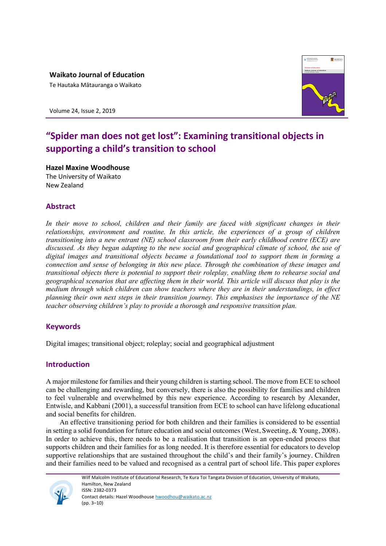**Waikato Journal of Education**

Te Hautaka Mātauranga o Waikato





# **"Spider man does not get lost": Examining transitional objects in supporting a child's transition to school**

**Hazel Maxine Woodhouse** The University of Waikato New Zealand

# **Abstract**

*In their move to school, children and their family are faced with significant changes in their relationships, environment and routine. In this article, the experiences of a group of children transitioning into a new entrant (NE) school classroom from their early childhood centre (ECE) are discussed. As they began adapting to the new social and geographical climate of school, the use of digital images and transitional objects became a foundational tool to support them in forming a connection and sense of belonging in this new place. Through the combination of these images and transitional objects there is potential to support their roleplay, enabling them to rehearse social and geographical scenarios that are affecting them in their world. This article will discuss that play is the medium through which children can show teachers where they are in their understandings, in effect planning their own next steps in their transition journey. This emphasises the importance of the NE teacher observing children's play to provide a thorough and responsive transition plan.*

# **Keywords**

Digital images; transitional object; roleplay; social and geographical adjustment

# **Introduction**

A major milestone for families and their young children is starting school. The move from ECE to school can be challenging and rewarding, but conversely, there is also the possibility for families and children to feel vulnerable and overwhelmed by this new experience. According to research by Alexander, Entwisle, and Kabbani (2001), a successful transition from ECE to school can have lifelong educational and social benefits for children.

An effective transitioning period for both children and their families is considered to be essential in setting a solid foundation for future education and social outcomes (West, Sweeting, & Young, 2008). In order to achieve this, there needs to be a realisation that transition is an open-ended process that supports children and their families for as long needed. It is therefore essential for educators to develop supportive relationships that are sustained throughout the child's and their family's journey. Children and their families need to be valued and recognised as a central part of school life. This paper explores



Wilf Malcolm Institute of Educational Research, Te Kura Toi Tangata Division of Education, University of Waikato, Hamilton, New Zealand ISSN: 2382-0373 Contact details: Hazel Woodhouse hwoodhou@waikato.ac.nz (pp. 3–10)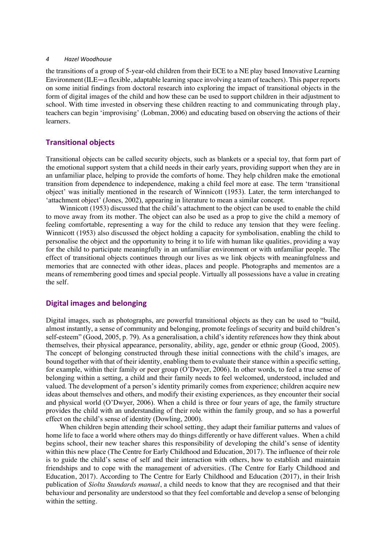the transitions of a group of 5-year-old children from their ECE to a NE play based Innovative Learning Environment(ILE—a flexible, adaptable learning space involving a team of teachers). This paper reports on some initial findings from doctoral research into exploring the impact of transitional objects in the form of digital images of the child and how these can be used to support children in their adjustment to school. With time invested in observing these children reacting to and communicating through play, teachers can begin 'improvising' (Lobman, 2006) and educating based on observing the actions of their learners.

# **Transitional objects**

Transitional objects can be called security objects, such as blankets or a special toy, that form part of the emotional support system that a child needs in their early years, providing support when they are in an unfamiliar place, helping to provide the comforts of home. They help children make the emotional transition from dependence to independence, making a child feel more at ease. The term 'transitional object' was initially mentioned in the research of Winnicott (1953). Later, the term interchanged to 'attachment object' (Jones, 2002), appearing in literature to mean a similar concept.

Winnicott (1953) discussed that the child's attachment to the object can be used to enable the child to move away from its mother. The object can also be used as a prop to give the child a memory of feeling comfortable, representing a way for the child to reduce any tension that they were feeling. Winnicott (1953) also discussed the object holding a capacity for symbolisation, enabling the child to personalise the object and the opportunity to bring it to life with human like qualities, providing a way for the child to participate meaningfully in an unfamiliar environment or with unfamiliar people. The effect of transitional objects continues through our lives as we link objects with meaningfulness and memories that are connected with other ideas, places and people. Photographs and mementos are a means of remembering good times and special people. Virtually all possessions have a value in creating the self.

## **Digital images and belonging**

Digital images, such as photographs, are powerful transitional objects as they can be used to "build, almost instantly, a sense of community and belonging, promote feelings of security and build children's self-esteem" (Good, 2005, p. 79). As a generalisation, a child's identity references how they think about themselves, their physical appearance, personality, ability, age, gender or ethnic group (Good, 2005). The concept of belonging constructed through these initial connections with the child's images, are bound together with that of their identity, enabling them to evaluate their stance within a specific setting, for example, within their family or peer group (O'Dwyer, 2006). In other words, to feel a true sense of belonging within a setting, a child and their family needs to feel welcomed, understood, included and valued. The development of a person's identity primarily comes from experience; children acquire new ideas about themselves and others, and modify their existing experiences, as they encounter their social and physical world (O'Dwyer, 2006). When a child is three or four years of age, the family structure provides the child with an understanding of their role within the family group, and so has a powerful effect on the child's sense of identity (Dowling, 2000).

When children begin attending their school setting, they adapt their familiar patterns and values of home life to face a world where others may do things differently or have different values. When a child begins school, their new teacher shares this responsibility of developing the child's sense of identity within this new place (The Centre for Early Childhood and Education, 2017). The influence of their role is to guide the child's sense of self and their interaction with others, how to establish and maintain friendships and to cope with the management of adversities. (The Centre for Early Childhood and Education, 2017). According to The Centre for Early Childhood and Education (2017), in their Irish publication of *Siolta Standards manual*, a child needs to know that they are recognised and that their behaviour and personality are understood so that they feel comfortable and develop a sense of belonging within the setting.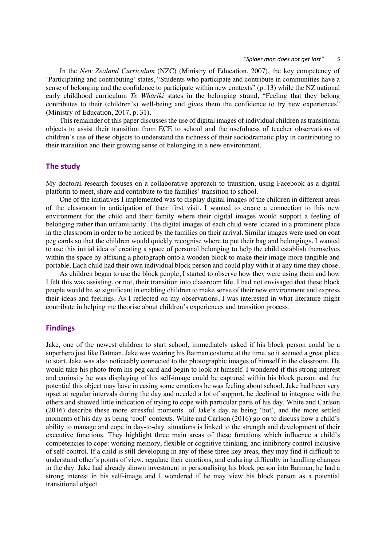In the *New Zealand Curriculum* (NZC) (Ministry of Education, 2007), the key competency of 'Participating and contributing' states, "Students who participate and contribute in communities have a sense of belonging and the confidence to participate within new contexts" (p. 13) while the NZ national early childhood curriculum *Te Whāriki* states in the belonging strand, "Feeling that they belong contributes to their (children's) well-being and gives them the confidence to try new experiences" (Ministry of Education, 2017, p. 31).

This remainder of this paper discusses the use of digital images of individual children as transitional objects to assist their transition from ECE to school and the usefulness of teacher observations of children's use of these objects to understand the richness of their sociodramatic play in contributing to their transition and their growing sense of belonging in a new environment.

## **The study**

My doctoral research focuses on a collaborative approach to transition, using Facebook as a digital platform to meet, share and contribute to the families' transition to school.

One of the initiatives I implemented was to display digital images of the children in different areas of the classroom in anticipation of their first visit. I wanted to create a connection to this new environment for the child and their family where their digital images would support a feeling of belonging rather than unfamiliarity. The digital images of each child were located in a prominent place in the classroom in order to be noticed by the families on their arrival. Similar images were used on coat peg cards so that the children would quickly recognise where to put their bag and belongings. I wanted to use this initial idea of creating a space of personal belonging to help the child establish themselves within the space by affixing a photograph onto a wooden block to make their image more tangible and portable. Each child had their own individual block person and could play with it at any time they chose.

As children began to use the block people, I started to observe how they were using them and how I felt this was assisting, or not, their transition into classroom life. I had not envisaged that these block people would be so significant in enabling children to make sense of their new environment and express their ideas and feelings. As I reflected on my observations, I was interested in what literature might contribute in helping me theorise about children's experiences and transition process.

#### **Findings**

Jake, one of the newest children to start school, immediately asked if his block person could be a superhero just like Batman. Jake was wearing his Batman costume at the time, so it seemed a great place to start. Jake was also noticeably connected to the photographic images of himself in the classroom. He would take his photo from his peg card and begin to look at himself. I wondered if this strong interest and curiosity he was displaying of his self-image could be captured within his block person and the potential this object may have in easing some emotions he was feeling about school. Jake had been very upset at regular intervals during the day and needed a lot of support, he declined to integrate with the others and showed little indication of trying to cope with particular parts of his day. White and Carlson (2016) describe these more stressful moments of Jake's day as being 'hot', and the more settled moments of his day as being 'cool' contexts. White and Carlson (2016) go on to discuss how a child's ability to manage and cope in day-to-day situations is linked to the strength and development of their executive functions. They highlight three main areas of these functions which influence a child's competencies to cope: working memory, flexible or cognitive thinking, and inhibitory control inclusive of self-control. If a child is still developing in any of these three key areas, they may find it difficult to understand other's points of view, regulate their emotions, and enduring difficulty in handling changes in the day. Jake had already shown investment in personalising his block person into Batman, he had a strong interest in his self-image and I wondered if he may view his block person as a potential transitional object.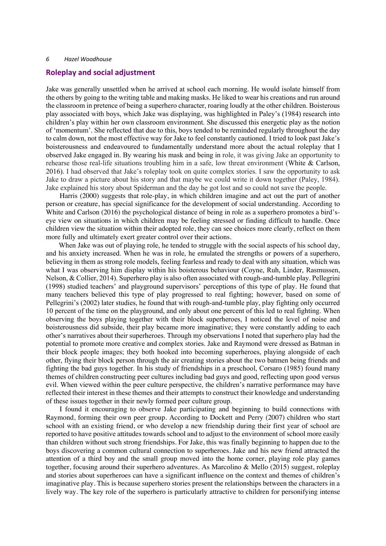#### **Roleplay and social adjustment**

Jake was generally unsettled when he arrived at school each morning. He would isolate himself from the others by going to the writing table and making masks. He liked to wear his creations and run around the classroom in pretence of being a superhero character, roaring loudly at the other children. Boisterous play associated with boys, which Jake was displaying, was highlighted in Paley's (1984) research into children's play within her own classroom environment. She discussed this energetic play as the notion of 'momentum'. She reflected that due to this, boys tended to be reminded regularly throughout the day to calm down, not the most effective way for Jake to feel constantly cautioned. I tried to look past Jake's boisterousness and endeavoured to fundamentally understand more about the actual roleplay that I observed Jake engaged in. By wearing his mask and being in role, it was giving Jake an opportunity to rehearse those real-life situations troubling him in a safe, low threat environment (White & Carlson, 2016). I had observed that Jake's roleplay took on quite complex stories. I saw the opportunity to ask Jake to draw a picture about his story and that maybe we could write it down together (Paley, 1984). Jake explained his story about Spiderman and the day he got lost and so could not save the people.

Harris (2000) suggests that role-play, in which children imagine and act out the part of another person or creature, has special significance for the development of social understanding. According to White and Carlson (2016) the psychological distance of being in role as a superhero promotes a bird'seye view on situations in which children may be feeling stressed or finding difficult to handle. Once children view the situation within their adopted role, they can see choices more clearly, reflect on them more fully and ultimately exert greater control over their actions.

When Jake was out of playing role, he tended to struggle with the social aspects of his school day, and his anxiety increased. When he was in role, he emulated the strengths or powers of a superhero, believing in them as strong role models, feeling fearless and ready to deal with any situation, which was what I was observing him display within his boisterous behaviour (Coyne, Ruh, Linder, Rasmussen, Nelson, & Collier, 2014). Superhero play is also often associated with rough-and-tumble play. Pellegrini (1998) studied teachers' and playground supervisors' perceptions of this type of play. He found that many teachers believed this type of play progressed to real fighting; however, based on some of Pellegrini's (2002) later studies, he found that with rough-and-tumble play, play fighting only occurred 10 percent of the time on the playground, and only about one percent of this led to real fighting. When observing the boys playing together with their block superheroes, I noticed the level of noise and boisterousness did subside, their play became more imaginative; they were constantly adding to each other's narratives about their superheroes. Through my observations I noted that superhero play had the potential to promote more creative and complex stories. Jake and Raymond were dressed as Batman in their block people images; they both hooked into becoming superheroes, playing alongside of each other, flying their block person through the air creating stories about the two batmen being friends and fighting the bad guys together. In his study of friendships in a preschool, Corsaro (1985) found many themes of children constructing peer cultures including bad guys and good, reflecting upon good versus evil. When viewed within the peer culture perspective, the children's narrative performance may have reflected their interest in these themes and their attempts to construct their knowledge and understanding of these issues together in their newly formed peer culture group.

I found it encouraging to observe Jake participating and beginning to build connections with Raymond, forming their own peer group. According to Dockett and Perry (2007) children who start school with an existing friend, or who develop a new friendship during their first year of school are reported to have positive attitudes towards school and to adjust to the environment of school more easily than children without such strong friendships. For Jake, this was finally beginning to happen due to the boys discovering a common cultural connection to superheroes. Jake and his new friend attracted the attention of a third boy and the small group moved into the home corner, playing role play games together, focusing around their superhero adventures. As Marcolino & Mello (2015) suggest, roleplay and stories about superheroes can have a significant influence on the context and themes of children's imaginative play. This is because superhero stories present the relationships between the characters in a lively way. The key role of the superhero is particularly attractive to children for personifying intense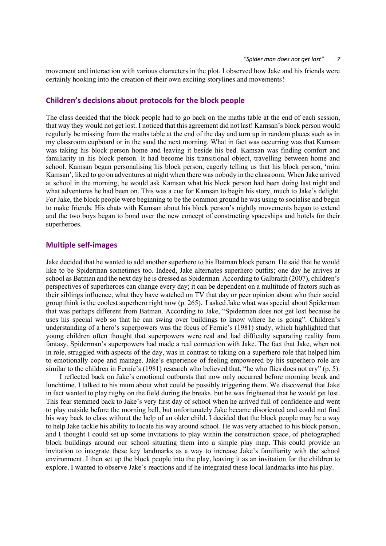movement and interaction with various characters in the plot. I observed how Jake and his friends were certainly hooking into the creation of their own exciting storylines and movements!

## **Children's decisions about protocols for the block people**

The class decided that the block people had to go back on the maths table at the end of each session, that way they would not get lost. I noticed that this agreement did not last! Kamsan's block person would regularly be missing from the maths table at the end of the day and turn up in random places such as in my classroom cupboard or in the sand the next morning. What in fact was occurring was that Kamsan was taking his block person home and leaving it beside his bed. Kamsan was finding comfort and familiarity in his block person. It had become his transitional object, travelling between home and school. Kamsan began personalising his block person, eagerly telling us that his block person, 'mini Kamsan', liked to go on adventures at night when there was nobody in the classroom. When Jake arrived at school in the morning, he would ask Kamsan what his block person had been doing last night and what adventures he had been on. This was a cue for Kamsan to begin his story, much to Jake's delight. For Jake, the block people were beginning to be the common ground he was using to socialise and begin to make friends. His chats with Kamsan about his block person's nightly movements began to extend and the two boys began to bond over the new concept of constructing spaceships and hotels for their superheroes.

## **Multiple self-images**

Jake decided that he wanted to add another superhero to his Batman block person. He said that he would like to be Spiderman sometimes too. Indeed, Jake alternates superhero outfits; one day he arrives at school as Batman and the next day he is dressed as Spiderman. According to Galbraith (2007), children's perspectives of superheroes can change every day; it can be dependent on a multitude of factors such as their siblings influence, what they have watched on TV that day or peer opinion about who their social group think is the coolest superhero right now (p. 265). I asked Jake what was special about Spiderman that was perhaps different from Batman. According to Jake, "Spiderman does not get lost because he uses his special web so that he can swing over buildings to know where he is going". Children's understanding of a hero's superpowers was the focus of Fernie's (1981) study, which highlighted that young children often thought that superpowers were real and had difficulty separating reality from fantasy. Spiderman's superpowers had made a real connection with Jake. The fact that Jake, when not in role, struggled with aspects of the day, was in contrast to taking on a superhero role that helped him to emotionally cope and manage. Jake's experience of feeling empowered by his superhero role are similar to the children in Fernie's (1981) research who believed that, "he who flies does not cry" (p. 5).

I reflected back on Jake's emotional outbursts that now only occurred before morning break and lunchtime. I talked to his mum about what could be possibly triggering them. We discovered that Jake in fact wanted to play rugby on the field during the breaks, but he was frightened that he would get lost. This fear stemmed back to Jake's very first day of school when he arrived full of confidence and went to play outside before the morning bell, but unfortunately Jake became disoriented and could not find his way back to class without the help of an older child. I decided that the block people may be a way to help Jake tackle his ability to locate his way around school. He was very attached to his block person, and I thought I could set up some invitations to play within the construction space, of photographed block buildings around our school situating them into a simple play map. This could provide an invitation to integrate these key landmarks as a way to increase Jake's familiarity with the school environment. I then set up the block people into the play, leaving it as an invitation for the children to explore. I wanted to observe Jake's reactions and if he integrated these local landmarks into his play.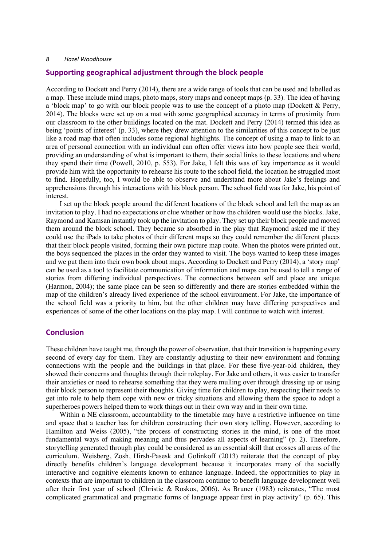### **Supporting geographical adjustment through the block people**

According to Dockett and Perry (2014), there are a wide range of tools that can be used and labelled as a map. These include mind maps, photo maps, story maps and concept maps (p. 33). The idea of having a 'block map' to go with our block people was to use the concept of a photo map (Dockett & Perry, 2014). The blocks were set up on a mat with some geographical accuracy in terms of proximity from our classroom to the other buildings located on the mat. Dockett and Perry (2014) termed this idea as being 'points of interest' (p. 33), where they drew attention to the similarities of this concept to be just like a road map that often includes some regional highlights. The concept of using a map to link to an area of personal connection with an individual can often offer views into how people see their world, providing an understanding of what is important to them, their social links to these locations and where they spend their time (Powell, 2010, p. 553). For Jake, I felt this was of key importance as it would provide him with the opportunity to rehearse his route to the school field, the location he struggled most to find. Hopefully, too, I would be able to observe and understand more about Jake's feelings and apprehensions through his interactions with his block person. The school field was for Jake, his point of interest.

I set up the block people around the different locations of the block school and left the map as an invitation to play. I had no expectations or clue whether or how the children would use the blocks. Jake, Raymond and Kamsan instantly took up the invitation to play. They set up their block people and moved them around the block school. They became so absorbed in the play that Raymond asked me if they could use the iPads to take photos of their different maps so they could remember the different places that their block people visited, forming their own picture map route. When the photos were printed out, the boys sequenced the places in the order they wanted to visit. The boys wanted to keep these images and we put them into their own book about maps. According to Dockett and Perry (2014), a 'story map' can be used as a tool to facilitate communication of information and maps can be used to tell a range of stories from differing individual perspectives. The connections between self and place are unique (Harmon, 2004); the same place can be seen so differently and there are stories embedded within the map of the children's already lived experience of the school environment. For Jake, the importance of the school field was a priority to him, but the other children may have differing perspectives and experiences of some of the other locations on the play map. I will continue to watch with interest.

## **Conclusion**

These children have taught me, through the power of observation, that their transition is happening every second of every day for them. They are constantly adjusting to their new environment and forming connections with the people and the buildings in that place. For these five-year-old children, they showed their concerns and thoughts through their roleplay. For Jake and others, it was easier to transfer their anxieties or need to rehearse something that they were mulling over through dressing up or using their block person to represent their thoughts. Giving time for children to play, respecting their needs to get into role to help them cope with new or tricky situations and allowing them the space to adopt a superheroes powers helped them to work things out in their own way and in their own time.

Within a NE classroom, accountability to the timetable may have a restrictive influence on time and space that a teacher has for children constructing their own story telling. However, according to Hamilton and Weiss (2005), "the process of constructing stories in the mind, is one of the most fundamental ways of making meaning and thus pervades all aspects of learning" (p. 2). Therefore, storytelling generated through play could be considered as an essential skill that crosses all areas of the curriculum. Weisberg, Zosh, Hirsh-Pasesk and Golinkoff (2013) reiterate that the concept of play directly benefits children's language development because it incorporates many of the socially interactive and cognitive elements known to enhance language. Indeed, the opportunities to play in contexts that are important to children in the classroom continue to benefit language development well after their first year of school (Christie & Roskos, 2006). As Bruner (1983) reiterates, "The most complicated grammatical and pragmatic forms of language appear first in play activity" (p. 65). This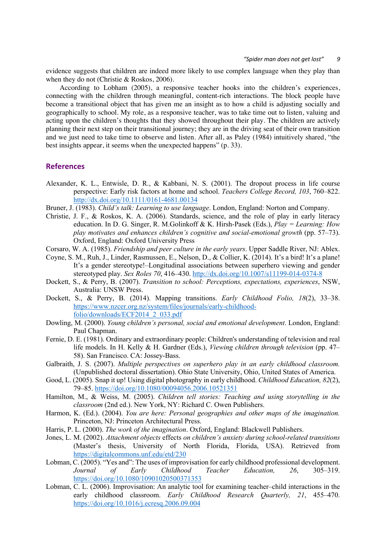evidence suggests that children are indeed more likely to use complex language when they play than when they do not (Christie & Roskos, 2006).

According to Lobham (2005), a responsive teacher hooks into the children's experiences, connecting with the children through meaningful, content-rich interactions. The block people have become a transitional object that has given me an insight as to how a child is adjusting socially and geographically to school. My role, as a responsive teacher, was to take time out to listen, valuing and acting upon the children's thoughts that they showed throughout their play. The children are actively planning their next step on their transitional journey; they are in the driving seat of their own transition and we just need to take time to observe and listen. After all, as Paley (1984) intuitively shared, "the best insights appear, it seems when the unexpected happens" (p. 33).

## **References**

Alexander, K. L., Entwisle, D. R., & Kabbani, N. S. (2001). The dropout process in life course perspective: Early risk factors at home and school. *Teachers College Record, 103*, 760–822. http://dx.doi.org/10.1111/0161-4681.00134

Bruner, J. (1983). *Child's talk: Learning to use language*. London, England: Norton and Company.

- Christie, J. F., & Roskos, K. A. (2006). Standards, science, and the role of play in early literacy education. In D. G. Singer, R. M.Golinkoff & K. Hirsh-Pasek (Eds.), *Play = Learning: How play motivates and enhances children's cognitive and social-emotional growth (pp. 57–73).* Oxford, England: Oxford University Press
- Corsaro, W. A. (1985). *Friendship and peer culture in the early years*. Upper Saddle River, NJ: Ablex.
- Coyne, S. M., Ruh, J., Linder, Rasmussen, E., Nelson, D., & Collier, K. (2014). It's a bird! It's a plane! It's a gender stereotype!–Longitudinal associations between superhero viewing and gender stereotyped play. *Sex Roles 70*, 416–430. http://dx.doi.org/10.1007/s11199-014-0374-8
- Dockett, S., & Perry, B. (2007). *Transition to school: Perceptions, expectations, experiences*, NSW, Australia: UNSW Press.
- Dockett, S., & Perry, B. (2014). Mapping transitions. *Early Childhood Folio, 18*(2), 33–38. https://www.nzcer.org.nz/system/files/journals/early-childhoodfolio/downloads/ECF2014\_2\_033.pdf
- Dowling, M. (2000). *Young children's personal, social and emotional development*. London, England: Paul Chapman.
- Fernie, D. E. (1981). Ordinary and extraordinary people: Children's understanding of television and real life models. In H. Kelly & H. Gardner (Eds.), *Viewing children through television* (pp. 47– 58). San Francisco. CA: Jossey-Bass.
- Galbraith, J. S. (2007). *Multiple perspectives on superhero play in an early childhood classroom.* (Unpublished doctoral dissertation). Ohio State University, Ohio, United States of America.
- Good, L. (2005). Snap it up! Using digital photography in early childhood. *Childhood Education, 82*(2), 79–85. https://doi.org/10.1080/00094056.2006.10521351
- Hamilton, M., & Weiss, M. (2005). *Children tell stories: Teaching and using storytelling in the classroom* (2nd ed.). New York, NY: Richard C. Owen Publishers.
- Harmon, K. (Ed.). (2004). *You are here: Personal geographies and other maps of the imagination.* Princeton, NJ: Princeton Architectural Press.
- Harris, P. L. (2000). *The work of the imagination*. Oxford, England: Blackwell Publishers.
- Jones, L. M. (2002). *Attachment objects* effects *on children's anxiety during school-related transitions* (Master's thesis, University of North Florida, Florida, USA). Retrieved from https://digitalcommons.unf.edu/etd/230
- Lobman, C. (2005). "Yes and": The uses of improvisation for early childhood professional development. *Journal of Early Childhood Teacher Education, 26*, 305–319. https://doi.org/10.1080/10901020500371353
- Lobman, C. L. (2006). Improvisation: An analytic tool for examining teacher–child interactions in the early childhood classroom. *Early Childhood Research Quarterly, 21*, 455–470. https://doi.org/10.1016/j.ecresq.2006.09.004